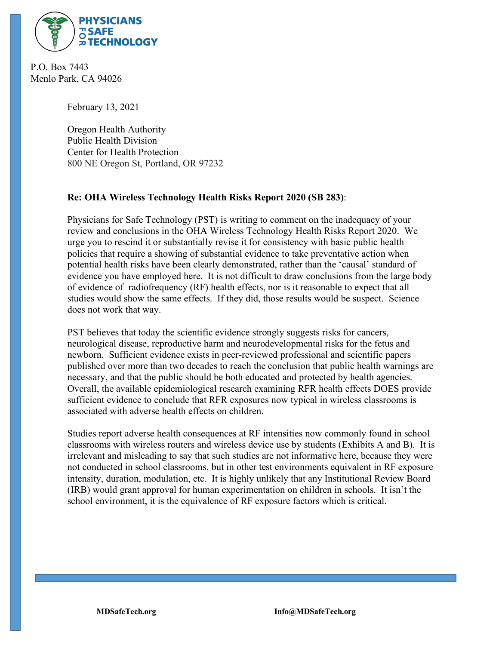

 P.O. Box 7443 Menlo Park, CA 94026

February 13, 2021

Oregon Health Authority Public Health Division Center for Health Protection 800 NE Oregon St, Portland, OR 97232

## **Re: OHA Wireless Technology Health Risks Report 2020 (SB 283)**:

Physicians for Safe Technology (PST) is writing to comment on the inadequacy of your review and conclusions in the OHA Wireless Technology Health Risks Report 2020. We urge you to rescind it or substantially revise it for consistency with basic public health policies that require a showing of substantial evidence to take preventative action when potential health risks have been clearly demonstrated, rather than the 'causal' standard of evidence you have employed here. It is not difficult to draw conclusions from the large body of evidence of radiofrequency (RF) health effects, nor is it reasonable to expect that all studies would show the same effects. If they did, those results would be suspect. Science does not work that way.

PST believes that today the scientific evidence strongly suggests risks for cancers, neurological disease, reproductive harm and neurodevelopmental risks for the fetus and newborn. Sufficient evidence exists in peer-reviewed professional and scientific papers published over more than two decades to reach the conclusion that public health warnings are necessary, and that the public should be both educated and protected by health agencies. Overall, the available epidemiological research examining RFR health effects DOES provide sufficient evidence to conclude that RFR exposures now typical in wireless classrooms is associated with adverse health effects on children.

Studies report adverse health consequences at RF intensities now commonly found in school classrooms with wireless routers and wireless device use by students (Exhibits A and B). It is irrelevant and misleading to say that such studies are not informative here, because they were not conducted in school classrooms, but in other test environments equivalent in RF exposure intensity, duration, modulation, etc. It is highly unlikely that any Institutional Review Board (IRB) would grant approval for human experimentation on children in schools. It isn't the school environment, it is the equivalence of RF exposure factors which is critical.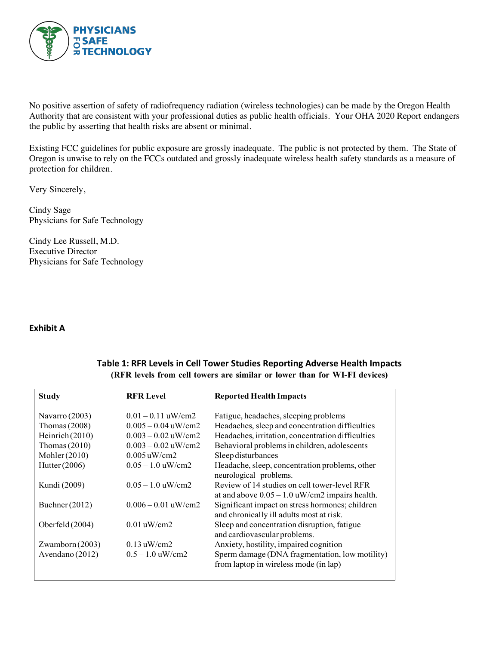

No positive assertion of safety of radiofrequency radiation (wireless technologies) can be made by the Oregon Health Authority that are consistent with your professional duties as public health officials. Your OHA 2020 Report endangers the public by asserting that health risks are absent or minimal.

Existing FCC guidelines for public exposure are grossly inadequate. The public is not protected by them. The State of Oregon is unwise to rely on the FCCs outdated and grossly inadequate wireless health safety standards as a measure of protection for children.

Very Sincerely,

Cindy Sage Physicians for Safe Technology

Cindy Lee Russell, M.D. Executive Director Physicians for Safe Technology

## **Exhibit A**

## **Table 1: RFR Levels in Cell Tower Studies Reporting Adverse Health Impacts (RFR levels from cell towers are similar or lower than for WI-FI devices)**

| <b>Study</b>      | <b>RFR Level</b>      | <b>Reported Health Impacts</b>                                                                   |
|-------------------|-----------------------|--------------------------------------------------------------------------------------------------|
| Navarro $(2003)$  | $0.01 - 0.11$ uW/cm2  | Fatigue, headaches, sleeping problems                                                            |
| Thomas $(2008)$   | $0.005 - 0.04$ uW/cm2 | Headaches, sleep and concentration difficulties                                                  |
| Heinrich $(2010)$ | $0.003 - 0.02$ uW/cm2 | Headaches, irritation, concentration difficulties                                                |
| Thomas $(2010)$   | $0.003 - 0.02$ uW/cm2 | Behavioral problems in children, adolescents                                                     |
| Mohler $(2010)$   | $0.005$ uW/cm2        | Sleep disturbances                                                                               |
| Hutter (2006)     | $0.05 - 1.0$ uW/cm2   | Headache, sleep, concentration problems, other<br>neurological problems.                         |
| Kundi (2009)      | $0.05 - 1.0$ uW/cm2   | Review of 14 studies on cell tower-level RFR<br>at and above $0.05 - 1.0$ uW/cm2 impairs health. |
| Buchner $(2012)$  | $0.006 - 0.01$ uW/cm2 | Significant impact on stress hormones; children<br>and chronically ill adults most at risk.      |
| Oberfeld $(2004)$ | $0.01$ uW/cm2         | Sleep and concentration disruption, fatigue<br>and cardiovascular problems.                      |
| Zwamborn $(2003)$ | $0.13$ uW/cm2         | Anxiety, hostility, impaired cognition                                                           |
| Avendano (2012)   | $0.5 - 1.0$ uW/cm2    | Sperm damage (DNA fragmentation, low motility)<br>from laptop in wireless mode (in lap)          |